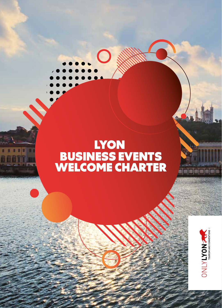## LYON BUSINESS EVENTS WELCOME CHARTER

 $\overline{\phantom{0}}$ 



in ala ala a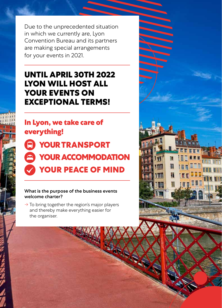Due to the unprecedented situation in which we currently are, Lyon Convention Bureau and its partners are making special arrangements for your events in 2021.

## **UNTIL APRIL 30TH 2022 LYON WILL HOST ALL YOUR EVENTS ON EXCEPTIONAL TERMS!**

**In Lyon, we take care of everything!**

 **YOUR TRANSPORT A YOUR ACCOMMODATION YOUR PEACE OF MIND**

#### What is the purpose of the business events welcome charter?

 $\rightarrow$  To bring together the region's major players and thereby make everything easier for the organiser.

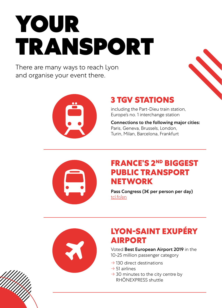# YOUR TRANSPORT

There are many ways to reach Lyon and organise your event there.



## **3 TGV STATIONS**

including the Part-Dieu train station, Europe's no. 1 interchange station

Connections to the following major cities: Paris, Geneva, Brussels, London, Turin, Milan, Barcelona, Frankfurt



## **FRANCE'S 2ND BIGGEST PUBLIC TRANSPORT NETWORK**

Pass Congress (3€ per person per day) [tcl.fr/en](https://www.tcl.fr/en)



## **LYON-SAINT EXUPÉRY AIRPORT**

Voted Best European Airport 2019 in the 10-25 million passenger category

- $\rightarrow$  130 direct destinations
- $\rightarrow$  51 airlines
- $\rightarrow$  30 minutes to the city centre by RHÔNEXPRESS shuttle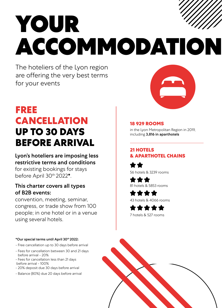# YOUR ACCOMMODATION

The hoteliers of the Lyon region are offering the very best terms for your events

## **FREE CANCELLATION UP TO 30 DAYS BEFORE ARRIVAL**

#### Lyon's hoteliers are imposing less restrictive terms and conditions

for existing bookings for stays before April 30th 2022\*.

#### This charter covers all types of B2B events:

convention, meeting, seminar, congress, or trade show from 100 people; in one hotel or in a venue using several hotels.

#### \*Our special terms until April 30th 2022:

- Free cancellation up to 30 days before arrival
- Fees for cancellation between 30 and 21 days before arrival - 20%
- Fees for cancellation less than 21 days before arrival - 100%
- 20% deposit due 30 days before arrival
- Balance (80%) due 20 days before arrival



#### **18 929 ROOMS**

in the Lyon Metropolitan Region in 2019, including 3,816 in aparthotels

#### **21 HOTELS & APARTHOTEL CHAINS**

56 hotels & 3239 rooms

\*\*\* 81 hotels & 5853 rooms

\*\*\*\* 43 hotels & 4066 rooms

\*\*\*\*\* 7 hotels & 527 rooms

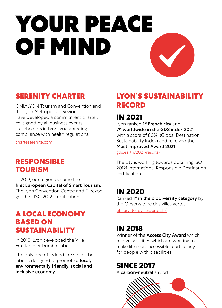# YOUR PEACE OF MIND

## **SERENITY CHARTER**

ONLYLYON Tourism and Convention and the Lyon Metropolitan Region have developed a commitment charter, co-signed by all business events stakeholders in Lyon, guaranteeing compliance with health regulations.

[charteserenite.com](http://in 2021 
Lyon ranked 1st French city and 7th worldwide in the GDS index 2021 with a score of 80%  (Global Destination Sustainability Index) and received the «Most improved Award 2021»
gds.earth/2021-results/
The city is working towards obtaining ISO 20121 International Responsible Destination certification.  
)

### **RESPONSIBLE TOURISM**

In 2019, our region became the first European Capital of Smart Tourism. The Lyon Convention Centre and Eurexpo

got their ISO 20121 certification.

### **A LOCAL ECONOMY BASED ON SUSTAINABILITY**

In 2010, Lyon developed the Ville Équitable et Durable label.

The only one of its kind in France, the label is designed to promote a local, environmentally friendly, social and inclusive economy.

## **LYON'S SUSTAINABILITY RECORD**

## **IN 2021**

Lyon ranked 1<sup>st</sup> French city and 7th worldwide in the GDS index 2021 with a score of 80% (Global Destination Sustainability Index) and received the Most improved Award 2021.

[gds.earth/2021-results/](https://www.gds.earth/2021-results/ )

The city is working towards obtaining ISO 20121 International Responsible Destination certification.

### **IN 2020**

Ranked 1<sup>st</sup> in the biodiversity category by the Observatoire des villes vertes.

[observatoirevillesvertes.fr/](http://www.observatoirevillesvertes.fr/)

## **IN 2018**

Winner of the **Access City Award** which recognises cities which are working to make life more accessible, particularly for people with disabilities.

**SINCE 2017**